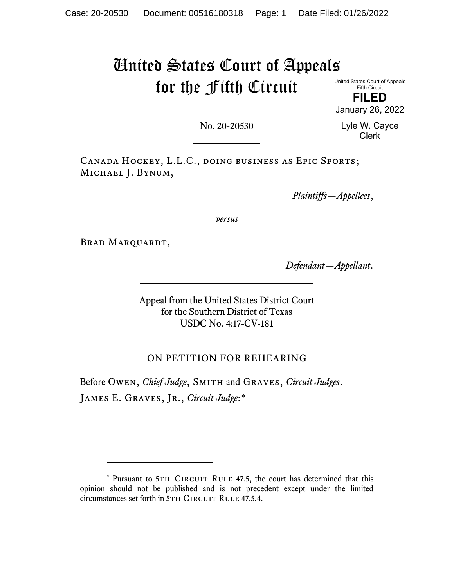# United States Court of Appeals for the Fifth Circuit

United States Court of Appeals Fifth Circuit

**FILED** January 26, 2022

No. 20-20530

Lyle W. Cayce Clerk

Canada Hockey, L.L.C., doing business as Epic Sports; Michael J. Bynum,

*Plaintiffs—Appellees*,

*versus*

Brad Marquardt,

*Defendant—Appellant*.

Appeal from the United States District Court for the Southern District of Texas USDC No. 4:17-CV-181

# ON PETITION FOR REHEARING

Before Owen, *Chief Judge*, Smith and Graves, *Circuit Judges*. James E. Graves, Jr., *Circuit Judge*:[\\*](#page-0-0)

<span id="page-0-0"></span><sup>\*</sup> Pursuant to 5TH CIRCUIT RULE 47.5, the court has determined that this opinion should not be published and is not precedent except under the limited circumstances set forth in 5TH CIRCUIT RULE 47.5.4.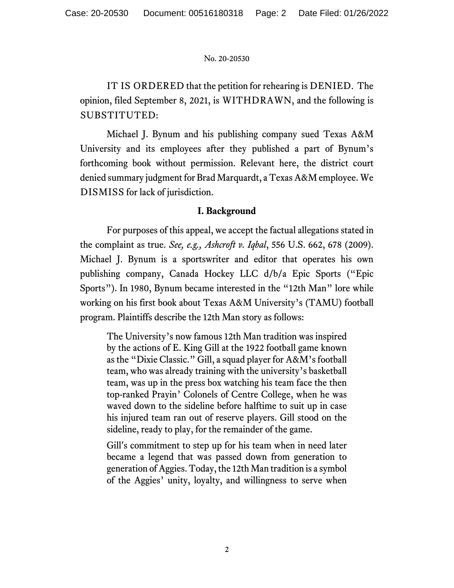IT IS ORDERED that the petition for rehearing is DENIED. The opinion, filed September 8, 2021, is WITHDRAWN, and the following is SUBSTITUTED:

Michael J. Bynum and his publishing company sued Texas A&M University and its employees after they published a part of Bynum's forthcoming book without permission. Relevant here, the district court denied summary judgment for Brad Marquardt, a Texas A&M employee. We DISMISS for lack of jurisdiction.

## **I. Background**

For purposes of this appeal, we accept the factual allegations stated in the complaint as true. *See, e.g., Ashcroft v. Iqbal*, 556 U.S. 662, 678 (2009). Michael J. Bynum is a sportswriter and editor that operates his own publishing company, Canada Hockey LLC d/b/a Epic Sports ("Epic Sports"). In 1980, Bynum became interested in the "12th Man" lore while working on his first book about Texas A&M University's (TAMU) football program. Plaintiffs describe the 12th Man story as follows:

The University's now famous 12th Man tradition was inspired by the actions of E. King Gill at the 1922 football game known as the "Dixie Classic." Gill, a squad player for A&M's football team, who was already training with the university's basketball team, was up in the press box watching his team face the then top-ranked Prayin' Colonels of Centre College, when he was waved down to the sideline before halftime to suit up in case his injured team ran out of reserve players. Gill stood on the sideline, ready to play, for the remainder of the game.

Gill's commitment to step up for his team when in need later became a legend that was passed down from generation to generation of Aggies. Today, the 12th Man tradition is a symbol of the Aggies' unity, loyalty, and willingness to serve when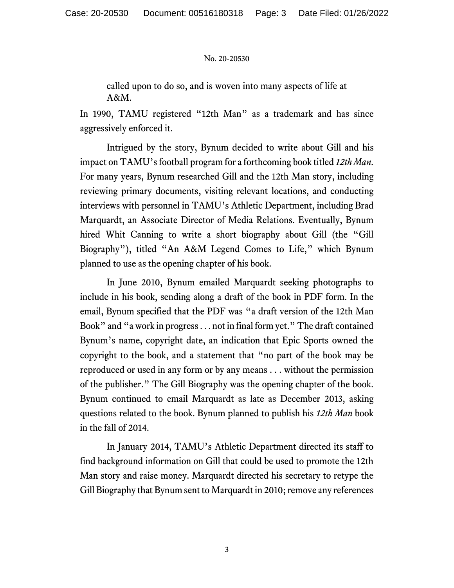called upon to do so, and is woven into many aspects of life at A&M.

In 1990, TAMU registered "12th Man" as a trademark and has since aggressively enforced it.

Intrigued by the story, Bynum decided to write about Gill and his impact on TAMU's football program for a forthcoming book titled *12th Man*. For many years, Bynum researched Gill and the 12th Man story, including reviewing primary documents, visiting relevant locations, and conducting interviews with personnel in TAMU's Athletic Department, including Brad Marquardt, an Associate Director of Media Relations. Eventually, Bynum hired Whit Canning to write a short biography about Gill (the "Gill Biography"), titled "An A&M Legend Comes to Life," which Bynum planned to use as the opening chapter of his book.

In June 2010, Bynum emailed Marquardt seeking photographs to include in his book, sending along a draft of the book in PDF form. In the email, Bynum specified that the PDF was "a draft version of the 12th Man Book" and "a work in progress . . . not in final form yet." The draft contained Bynum's name, copyright date, an indication that Epic Sports owned the copyright to the book, and a statement that "no part of the book may be reproduced or used in any form or by any means . . . without the permission of the publisher." The Gill Biography was the opening chapter of the book. Bynum continued to email Marquardt as late as December 2013, asking questions related to the book. Bynum planned to publish his *12th Man* book in the fall of 2014.

In January 2014, TAMU's Athletic Department directed its staff to find background information on Gill that could be used to promote the 12th Man story and raise money. Marquardt directed his secretary to retype the Gill Biography that Bynum sent to Marquardt in 2010; remove any references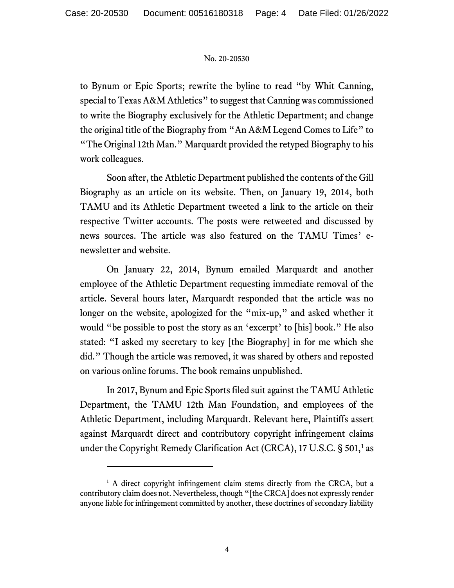to Bynum or Epic Sports; rewrite the byline to read "by Whit Canning, special to Texas A&M Athletics" to suggest that Canning was commissioned to write the Biography exclusively for the Athletic Department; and change the original title of the Biography from "An A&M Legend Comes to Life" to "The Original 12th Man." Marquardt provided the retyped Biography to his work colleagues.

Soon after, the Athletic Department published the contents of the Gill Biography as an article on its website. Then, on January 19, 2014, both TAMU and its Athletic Department tweeted a link to the article on their respective Twitter accounts. The posts were retweeted and discussed by news sources. The article was also featured on the TAMU Times' enewsletter and website.

On January 22, 2014, Bynum emailed Marquardt and another employee of the Athletic Department requesting immediate removal of the article. Several hours later, Marquardt responded that the article was no longer on the website, apologized for the "mix-up," and asked whether it would "be possible to post the story as an 'excerpt' to [his] book." He also stated: "I asked my secretary to key [the Biography] in for me which she did." Though the article was removed, it was shared by others and reposted on various online forums. The book remains unpublished.

In 2017, Bynum and Epic Sports filed suit against the TAMU Athletic Department, the TAMU 12th Man Foundation, and employees of the Athletic Department, including Marquardt. Relevant here, Plaintiffs assert against Marquardt direct and contributory copyright infringement claims under the Copyright Remedy Clarification Act (CRCA), [1](#page-3-0)7 U.S.C. § 501,<sup>1</sup> as

<span id="page-3-0"></span><sup>&</sup>lt;sup>1</sup> A direct copyright infringement claim stems directly from the CRCA, but a contributory claim does not. Nevertheless, though "[the CRCA] does not expressly render anyone liable for infringement committed by another, these doctrines of secondary liability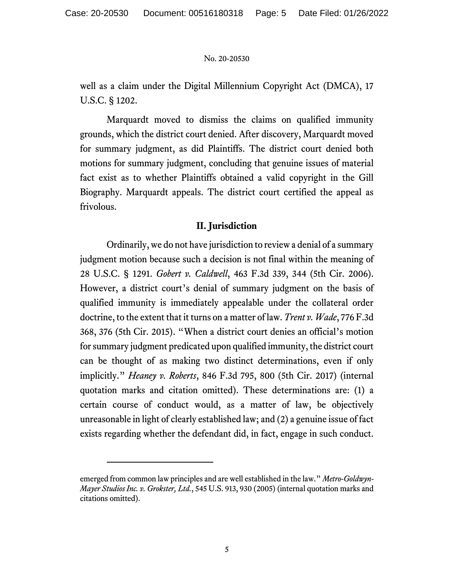well as a claim under the Digital Millennium Copyright Act (DMCA), 17 U.S.C. § 1202.

Marquardt moved to dismiss the claims on qualified immunity grounds, which the district court denied. After discovery, Marquardt moved for summary judgment, as did Plaintiffs. The district court denied both motions for summary judgment, concluding that genuine issues of material fact exist as to whether Plaintiffs obtained a valid copyright in the Gill Biography. Marquardt appeals. The district court certified the appeal as frivolous.

## **II. Jurisdiction**

Ordinarily, we do not have jurisdiction to review a denial of a summary judgment motion because such a decision is not final within the meaning of 28 U.S.C. § 1291. *Gobert v. Caldwell*, 463 F.3d 339, 344 (5th Cir. 2006). However, a district court's denial of summary judgment on the basis of qualified immunity is immediately appealable under the collateral order doctrine, to the extent that it turns on a matter of law. *Trent v. Wade*, 776 F.3d 368, 376 (5th Cir. 2015). "When a district court denies an official's motion for summary judgment predicated upon qualified immunity, the district court can be thought of as making two distinct determinations, even if only implicitly." *Heaney v. Roberts*, 846 F.3d 795, 800 (5th Cir. 2017) (internal quotation marks and citation omitted). These determinations are: (1) a certain course of conduct would, as a matter of law, be objectively unreasonable in light of clearly established law; and (2) a genuine issue of fact exists regarding whether the defendant did, in fact, engage in such conduct.

emerged from common law principles and are well established in the law." *Metro-Goldwyn-Mayer Studios Inc. v. Grokster, Ltd.*, 545 U.S. 913, 930 (2005) (internal quotation marks and citations omitted).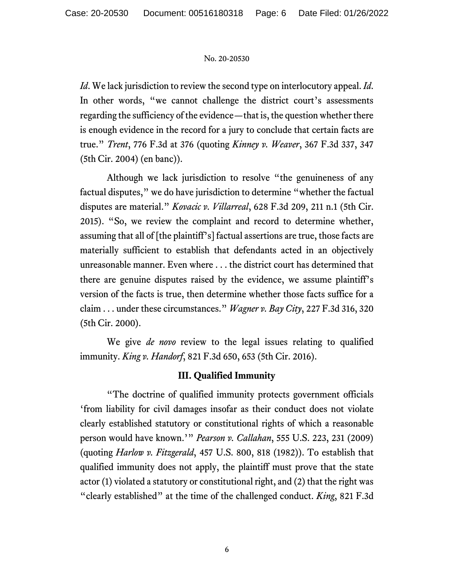*Id*. We lack jurisdiction to review the second type on interlocutory appeal. *Id*. In other words, "we cannot challenge the district court's assessments regarding the sufficiency of the evidence—that is, the question whether there is enough evidence in the record for a jury to conclude that certain facts are true." *Trent*, 776 F.3d at 376 (quoting *Kinney v. Weaver*, 367 F.3d 337, 347 (5th Cir. 2004) (en banc)).

Although we lack jurisdiction to resolve "the genuineness of any factual disputes," we do have jurisdiction to determine "whether the factual disputes are material." *Kovacic v. Villarreal*, 628 F.3d 209, 211 n.1 (5th Cir. 2015). "So, we review the complaint and record to determine whether, assuming that all of [the plaintiff's] factual assertions are true, those facts are materially sufficient to establish that defendants acted in an objectively unreasonable manner. Even where . . . the district court has determined that there are genuine disputes raised by the evidence, we assume plaintiff's version of the facts is true, then determine whether those facts suffice for a claim . . . under these circumstances." *Wagner v. Bay City*, 227 F.3d 316, 320 (5th Cir. 2000).

We give *de novo* review to the legal issues relating to qualified immunity. *King v. Handorf*, 821 F.3d 650, 653 (5th Cir. 2016).

# **III. Qualified Immunity**

"The doctrine of qualified immunity protects government officials 'from liability for civil damages insofar as their conduct does not violate clearly established statutory or constitutional rights of which a reasonable person would have known.'" *Pearson v. Callahan*, 555 U.S. 223, 231 (2009) (quoting *Harlow v. Fitzgerald*, 457 U.S. 800, 818 (1982)). To establish that qualified immunity does not apply, the plaintiff must prove that the state actor (1) violated a statutory or constitutional right, and (2) that the right was "clearly established" at the time of the challenged conduct. *King*, 821 F.3d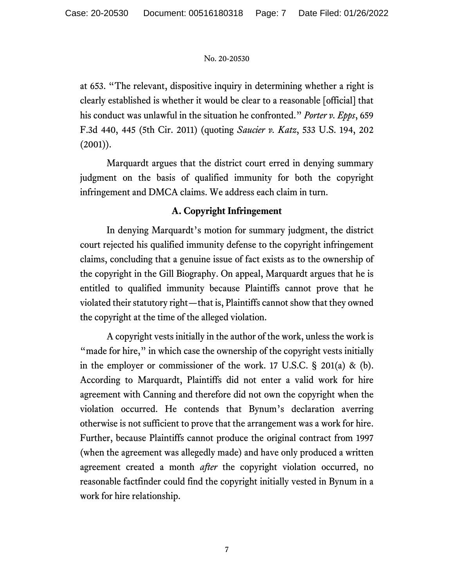at 653. "The relevant, dispositive inquiry in determining whether a right is clearly established is whether it would be clear to a reasonable [official] that his conduct was unlawful in the situation he confronted." *Porter v. Epps*, 659 F.3d 440, 445 (5th Cir. 2011) (quoting *Saucier v. Katz*, 533 U.S. 194, 202  $(2001)$ ).

Marquardt argues that the district court erred in denying summary judgment on the basis of qualified immunity for both the copyright infringement and DMCA claims. We address each claim in turn.

# **A. Copyright Infringement**

In denying Marquardt's motion for summary judgment, the district court rejected his qualified immunity defense to the copyright infringement claims, concluding that a genuine issue of fact exists as to the ownership of the copyright in the Gill Biography. On appeal, Marquardt argues that he is entitled to qualified immunity because Plaintiffs cannot prove that he violated their statutory right—that is, Plaintiffs cannot show that they owned the copyright at the time of the alleged violation.

A copyright vests initially in the author of the work, unless the work is "made for hire," in which case the ownership of the copyright vests initially in the employer or commissioner of the work. 17 U.S.C. § 201(a) & (b). According to Marquardt, Plaintiffs did not enter a valid work for hire agreement with Canning and therefore did not own the copyright when the violation occurred. He contends that Bynum's declaration averring otherwise is not sufficient to prove that the arrangement was a work for hire. Further, because Plaintiffs cannot produce the original contract from 1997 (when the agreement was allegedly made) and have only produced a written agreement created a month *after* the copyright violation occurred, no reasonable factfinder could find the copyright initially vested in Bynum in a work for hire relationship.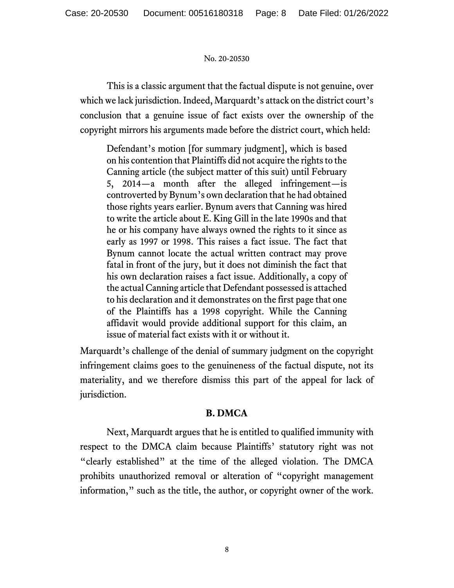This is a classic argument that the factual dispute is not genuine, over which we lack jurisdiction. Indeed, Marquardt's attack on the district court's conclusion that a genuine issue of fact exists over the ownership of the copyright mirrors his arguments made before the district court, which held:

Defendant's motion [for summary judgment], which is based on his contention that Plaintiffs did not acquire the rights to the Canning article (the subject matter of this suit) until February 5, 2014—a month after the alleged infringement—is controverted by Bynum's own declaration that he had obtained those rights years earlier. Bynum avers that Canning was hired to write the article about E. King Gill in the late 1990s and that he or his company have always owned the rights to it since as early as 1997 or 1998. This raises a fact issue. The fact that Bynum cannot locate the actual written contract may prove fatal in front of the jury, but it does not diminish the fact that his own declaration raises a fact issue. Additionally, a copy of the actual Canning article that Defendant possessed is attached to his declaration and it demonstrates on the first page that one of the Plaintiffs has a 1998 copyright. While the Canning affidavit would provide additional support for this claim, an issue of material fact exists with it or without it.

Marquardt's challenge of the denial of summary judgment on the copyright infringement claims goes to the genuineness of the factual dispute, not its materiality, and we therefore dismiss this part of the appeal for lack of jurisdiction.

## **B. DMCA**

Next, Marquardt argues that he is entitled to qualified immunity with respect to the DMCA claim because Plaintiffs' statutory right was not "clearly established" at the time of the alleged violation. The DMCA prohibits unauthorized removal or alteration of "copyright management information," such as the title, the author, or copyright owner of the work.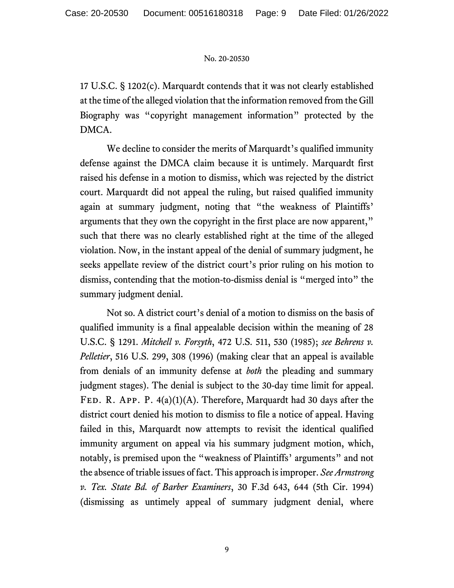17 U.S.C. § 1202(c). Marquardt contends that it was not clearly established at the time of the alleged violation that the information removed from the Gill Biography was "copyright management information" protected by the DMCA.

We decline to consider the merits of Marquardt's qualified immunity defense against the DMCA claim because it is untimely. Marquardt first raised his defense in a motion to dismiss, which was rejected by the district court. Marquardt did not appeal the ruling, but raised qualified immunity again at summary judgment, noting that "the weakness of Plaintiffs' arguments that they own the copyright in the first place are now apparent," such that there was no clearly established right at the time of the alleged violation. Now, in the instant appeal of the denial of summary judgment, he seeks appellate review of the district court's prior ruling on his motion to dismiss, contending that the motion-to-dismiss denial is "merged into" the summary judgment denial.

Not so. A district court's denial of a motion to dismiss on the basis of qualified immunity is a final appealable decision within the meaning of 28 U.S.C. § 1291. *Mitchell v. Forsyth*, 472 U.S. 511, 530 (1985); *see Behrens v. Pelletier*, 516 U.S. 299, 308 (1996) (making clear that an appeal is available from denials of an immunity defense at *both* the pleading and summary judgment stages). The denial is subject to the 30-day time limit for appeal. FED. R. APP. P.  $4(a)(1)(A)$ . Therefore, Marquardt had 30 days after the district court denied his motion to dismiss to file a notice of appeal. Having failed in this, Marquardt now attempts to revisit the identical qualified immunity argument on appeal via his summary judgment motion, which, notably, is premised upon the "weakness of Plaintiffs' arguments" and not the absence of triable issues of fact. This approach is improper. *See Armstrong v. Tex. State Bd. of Barber Examiners*, 30 F.3d 643, 644 (5th Cir. 1994) (dismissing as untimely appeal of summary judgment denial, where